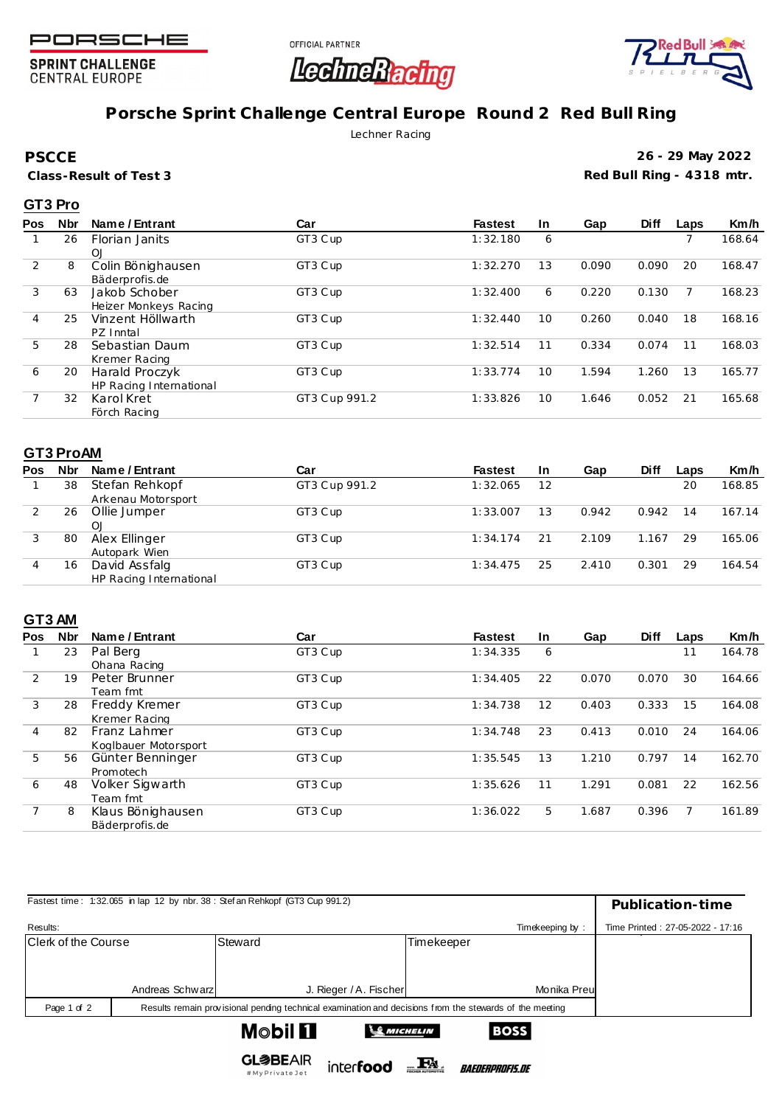

**SPRINT CHALLENGE CENTRAL EUROPE** 





# **Porsche Sprint Challenge Central Europe Round 2 Red Bull Ring**

Lechner Racing

**PSCCE**

**Class-Result of Test 3**

**26 - 29 May 2022 Red Bull Ring - 4318 mtr.**

### **GT3 Pro**

| <b>Nbr</b> | Name / Entrant          | Car           | <b>Fastest</b> | In. | Gap   | <b>Diff</b> | Laps | Km/h   |
|------------|-------------------------|---------------|----------------|-----|-------|-------------|------|--------|
| 26         | Florian Janits          | GT3 Cup       | 1:32.180       | 6   |       |             |      | 168.64 |
|            | OJ                      |               |                |     |       |             |      |        |
| 8          | Colin Bönighausen       | GT3 Cup       | 1:32.270       | 13  | 0.090 | 0.090       | 20   | 168.47 |
|            | Bäderprofis.de          |               |                |     |       |             |      |        |
| 63         | Jakob Schober           | GT3 Cup       | 1:32.400       | 6   | 0.220 | 0.130       |      | 168.23 |
|            | Heizer Monkeys Racing   |               |                |     |       |             |      |        |
| 25         | Vinzent Höllwarth       | GT3 Cup       | 1:32.440       | 10  | 0.260 | 0.040       | 18   | 168.16 |
|            | PZ Inntal               |               |                |     |       |             |      |        |
| 28         | Sebastian Daum          | GT3 Cup       | 1:32.514       | 11  | 0.334 | 0.074       | 11   | 168.03 |
|            | Kremer Racing           |               |                |     |       |             |      |        |
| 20         | Harald Proczyk          | GT3 Cup       | 1:33.774       | 10  | 1.594 | 1.260       | 13   | 165.77 |
|            | HP Racing International |               |                |     |       |             |      |        |
| 32         | Karol Kret              | GT3 Cup 991.2 | 1:33.826       | 10  | 1.646 | 0.052       | 21   | 165.68 |
|            | Förch Racing            |               |                |     |       |             |      |        |
|            |                         |               |                |     |       |             |      |        |

#### **GT3 ProAM**

| Pos | <b>Nbr</b> | Name / Entrant          | Car           | <b>Fastest</b> | <b>In</b> | Gap   | <b>Diff</b> | Laps | Km/h   |
|-----|------------|-------------------------|---------------|----------------|-----------|-------|-------------|------|--------|
|     | 38         | Stefan Rehkopf          | GT3 Cup 991.2 | 1:32.065       | 12        |       |             | 20   | 168.85 |
|     |            | Arkenau Motorsport      |               |                |           |       |             |      |        |
|     | 26         | Ollie Jumper            | GT3 Cup       | 1:33.007       | 13        | 0.942 | 0.942       | 14   | 167.14 |
|     |            | O <sub>1</sub>          |               |                |           |       |             |      |        |
|     | 80         | Alex Ellinger           | GT3 Cup       | 1:34.174       | 21        | 2.109 | 1.167       | 29   | 165.06 |
|     |            | Autopark Wien           |               |                |           |       |             |      |        |
| 4   | 16         | David Assfalg           | GT3 Cup       | 1:34.475       | 25        | 2.410 | 0.301       | 29   | 164.54 |
|     |            | HP Racing International |               |                |           |       |             |      |        |

## **GT3 AM**

| <b>Pos</b> | <b>Nbr</b> | Name / Entrant       | Car     | <b>Fastest</b> | In. | Gap   | <b>Diff</b> | Laps | Km/h   |
|------------|------------|----------------------|---------|----------------|-----|-------|-------------|------|--------|
|            | 23         | Pal Berg             | GT3 Cup | 1:34.335       | 6   |       |             | 11   | 164.78 |
|            |            | Ohana Racing         |         |                |     |       |             |      |        |
| 2          | 19         | Peter Brunner        | GT3 Cup | 1:34.405       | 22  | 0.070 | 0.070       | 30   | 164.66 |
|            |            | Team fmt             |         |                |     |       |             |      |        |
| 3          | 28         | Freddy Kremer        | GT3 Cup | 1:34.738       | 12  | 0.403 | 0.333       | 15   | 164.08 |
|            |            | Kremer Racing        |         |                |     |       |             |      |        |
| 4          | 82         | Franz Lahmer         | GT3 Cup | 1:34.748       | 23  | 0.413 | 0.010       | 24   | 164.06 |
|            |            | Koglbauer Motorsport |         |                |     |       |             |      |        |
| 5          | 56         | Günter Benninger     | GT3 Cup | 1:35.545       | 13  | 1.210 | 0.797       | 14   | 162.70 |
|            |            | Promotech            |         |                |     |       |             |      |        |
| 6          | 48         | Volker Sigwarth      | GT3 Cup | 1:35.626       | 11  | 1.291 | 0.081       | 22   | 162.56 |
|            |            | Team fmt             |         |                |     |       |             |      |        |
|            | 8          | Klaus Bönighausen    | GT3 Cup | 1:36.022       | 5   | 1.687 | 0.396       |      | 161.89 |
|            |            | Bäderprofis.de       |         |                |     |       |             |      |        |

| Fastest time: 1:32.065 in lap 12 by nbr. 38 : Stef an Rehkopf (GT3 Cup 991.2) | Publication-time |                                                                                                         |                        |                 |                                  |
|-------------------------------------------------------------------------------|------------------|---------------------------------------------------------------------------------------------------------|------------------------|-----------------|----------------------------------|
| Results:                                                                      |                  |                                                                                                         |                        | Timekeeping by: | Time Printed: 27-05-2022 - 17:16 |
| <b>Clerk of the Course</b>                                                    |                  | Steward                                                                                                 | Timekeeper             |                 |                                  |
|                                                                               |                  |                                                                                                         |                        |                 |                                  |
|                                                                               | Andreas Schwarz  | J. Rieger / A. Fischer                                                                                  |                        | Monika Preu     |                                  |
| Page 1 of 2                                                                   |                  | Results remain provisional pending technical examination and decisions from the stewards of the meeting |                        |                 |                                  |
|                                                                               |                  | <b>Mobil []</b>                                                                                         | <b>SANICHELIN</b>      | <b>BOSS</b>     |                                  |
|                                                                               |                  | <b>GL参BEAIR</b><br>interfood<br>$H M_V$ Drivate Jot                                                     | <i>BAEDERPROFIS.DE</i> |                 |                                  |

# My Private Jet